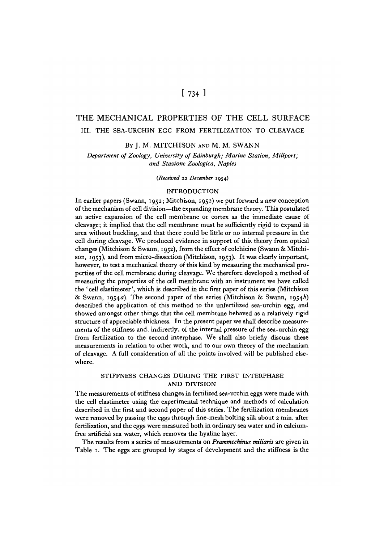# $[734]$

# THE MECHANICAL PROPERTIES OF THE CELL SURFACE III. THE SEA-URCHIN EGG FROM FERTILIZATION TO CLEAVAGE

BY J. M. MITCHISON AND M. M. SWANN

*Department of Zoology, University of Edinburgh; Marine Station, MiUport; and Stazione Zoologica, Naples*

*{Received* **22** *December* **1954)**

### INTRODUCTION

In earlier papers (Swann, 1952; Mitchison, 1952) we put forward a new conception of the mechanism of cell division—the expanding membrane theory. This postulated an active expansion of the cell membrane or cortex as the immediate cause of cleavage; it implied that the cell membrane must be sufficiently rigid to expand in area without buckling, and that there could be little or no internal pressure in the cell during cleavage. We produced evidence in support of this theory from optical changes (Mitchison & Swann, 1952), from the effect of colchicine (Swann & Mitchison, 1953), and from micro-dissection (Mitchison, 1953). It was clearly important, however, to test a mechanical theory of this kind by measuring the mechanical properties of the cell membrane during cleavage. We therefore developed a method of measuring the properties of the cell membrane with an instrument we have called the ' cell elastimeter', which is described in the first paper of this series (Mitchison & Swann, 1954a). The second paper of the series (Mitchison & Swann, 1954b) described the application of this method to the unfertilized sea-urchin egg, and showed amongst other things that the cell membrane behaved as a relatively rigid structure of appreciable thickness. In the present paper we shall describe measurements of the stiffness and, indirectly, of the internal pressure of the sea-urchin egg from fertilization to the second interphase. We shall also briefly discuss these measurements in relation to other work, and to our own theory of the mechanism of cleavage. A full consideration of all the points involved will be published elsewhere.

# STIFFNESS CHANGES DURING THE FIRST INTERPHASE AND DIVISION

The measurements of stiffness changes in fertilized sea-urchin eggs were made with the cell elastimeter using the experimental technique and methods of calculation described in the first and second paper of this series. The fertilization membranes were removed by passing the eggs through fine-mesh bolting silk about 2 min. after fertilization, and the eggs were measured both in ordinary sea water and in calciumfree artificial sea water, which removes the hyaline layer.

The results from a series of measurements on *Psammeckinus nriliaris* are given in Table 1. The eggs are grouped by stages of development and the stiffness is the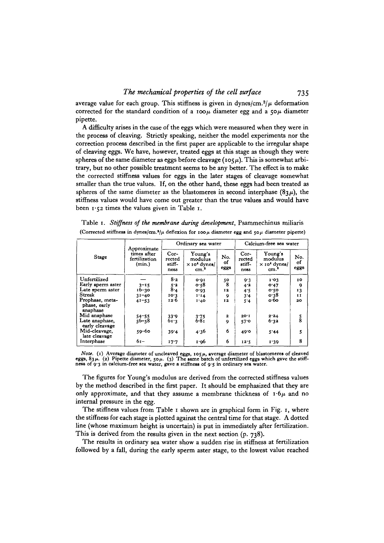average value for each group. This stiffness is given in dynes/cm.<sup>2</sup>/ $\mu$  deformation corrected for the standard condition of a 100 $\mu$  diameter egg and a 50 $\mu$  diameter pipette.

A difficulty arises in the case of the eggs which were measured when they were in the process of cleaving. Strictly speaking, neither the model experiments nor the correction process described in the first paper are applicable to the irregular shape of cleaving eggs. We have, however, treated eggs at this stage as though they were spheres of the same diameter as eggs before cleavage ( $105\mu$ ). This is somewhat arbitrary, but no other possible treatment seems to be any better. The effect is to make the corrected stiffness values for eggs in the later stages of cleavage somewhat smaller than the true values. If, on the other hand, these eggs had been treated as spheres of the same diameter as the blastomeres in second interphase  $(83\mu)$ , the stiffness values would have come out greater than the true values and would have been  $1.52$  times the values given in Table 1.

|  |  | Table 1. Stiffness of the membrane during development, Psammechinus miliaris                                               |  |  |
|--|--|----------------------------------------------------------------------------------------------------------------------------|--|--|
|  |  | (Corrected stiffness in dynes/cm. <sup>3</sup> / $\mu$ deflexion for 100 $\mu$ diameter egg and 50 $\mu$ diameter pipette) |  |  |

|                                             | Approximate                            | Ordinary sea water                 |                                                                          |                   | Calcium-free sea water           |                                                                          |                   |
|---------------------------------------------|----------------------------------------|------------------------------------|--------------------------------------------------------------------------|-------------------|----------------------------------|--------------------------------------------------------------------------|-------------------|
| Stage                                       | times after<br>fertilization<br>(min.) | $Cor-$<br>rected<br>stiff-<br>ness | Young's<br>modulus<br>$\times$ 10 <sup>4</sup> dynes/<br>cm <sup>3</sup> | No.<br>of<br>eggs | Cor-<br>rected<br>stiff-<br>ness | Young's<br>modulus<br>$\times$ 10 <sup>4</sup> dynes/<br>cm <sup>3</sup> | No.<br>of<br>eggs |
| Unfertilized                                |                                        | 8.2                                | 0.01                                                                     | 50                | 9.3                              | 1.03                                                                     | 10                |
| Early sperm aster                           | $3 - 15$                               |                                    | $\mathbf{o} \cdot \mathbf{s} \mathbf{8}$                                 | 8                 | 4.2                              | 0.47                                                                     | 9                 |
| Late sperm aster                            | $16 - 30$                              | $\frac{5.2}{8.4}$                  | 0.03                                                                     | 12                | 4.5                              | 0.50                                                                     | 13                |
| Streak                                      | $31 - 40$                              | 10.3                               | 1.14                                                                     | 9                 | 3.4                              | 0.38                                                                     | Ħ                 |
| Prophase, meta-<br>phase, early<br>anaphase | $41 - 53$                              | 12.6                               | 1.40                                                                     | 12                | 5.4                              | o·6o                                                                     | 20                |
| Mid anaphase                                |                                        | 33.9                               |                                                                          | $\mathbf{z}$      | 20.1                             | 2.24                                                                     | $\frac{5}{8}$     |
| Late anaphase,<br>early cleavage            | $54 - 55$<br>$56 - 58$                 | 61.3                               | $3.75$<br>$6.81$                                                         | Q                 | 57°                              | 6.32                                                                     |                   |
| Mid-cleavage,<br>late cleavage              | $59 - 60$                              | 39.4                               | 4.36                                                                     | 6                 | 49.0                             | 5'44                                                                     | 5                 |
| Interphase                                  | $6I -$                                 | 17.7                               | 1.96                                                                     | 6                 | 12.5                             | 1.39                                                                     | 8                 |

*Note.* (1) Average diameter of uncleaved eggs,  $105\mu$ , average diameter of blastomeres of cleaved eggs,  $83\mu$ . (2) Pipette diameter,  $50\mu$ . (3) The same batch of unfertilized eggs which gave the stiff-ness of 9.3 in c

The figures for Young's modulus are derived from the corrected stiffness values by the method described in the first paper. It should be emphasized that they are only approximate, and that they assume a membrane thickness of  $\mathbf{r} \cdot \mathbf{6}\mu$  and no internal pressure in the egg.

The stiffness values from Table 1 shown are in graphical form in Fig. 1, where the stiffness for each stage is plotted against the central time for that stage. A dotted line (whose maximum height is uncertain) is put in immediately after fertilization. This is derived from the results given in the next section (p. 738).

The results in ordinary sea water show a sudden rise in stiffness at fertilization followed by a fall, during the early sperm aster stage, to the lowest value reached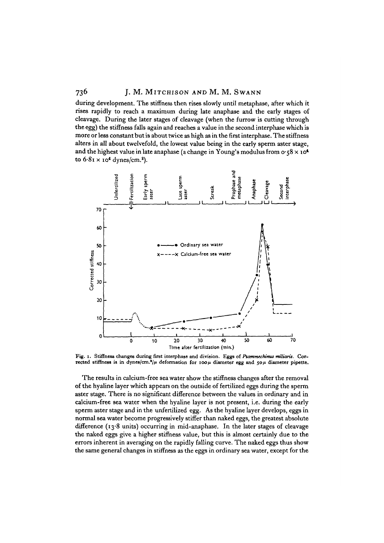during development. The stiffness then rises slowly until metaphase, after which it rises rapidly to reach a maximum during late anaphase and the early stages of cleavage. During the later stages of cleavage (when the furrow is cutting through the egg) the stiffness falls again and reaches a value in the second interphase which is more or less constant but is about twice as high as in the first interphase. The stiffness alters in all about twelvefold, the lowest value being in the early sperm aster stage, and the highest value in late anaphase (a change in Young's modulus from  $\sigma$ -58 x 10<sup>4</sup> to  $6.81 \times 10^4$  dynes/cm.<sup>8</sup>).



**Fig. I. Stiffness changes during first interphase and division. Eggs of** *Ptammechimts miliaris.* **Corrected stiffness is in dynes/cm.<sup>1</sup> //\* deformation for IOOJI diameter egg and** *\$on* **diameter pipette.**

The results in calcium-free sea water show the stiffness changes after the removal of the hyaline layer which appears on the outside of fertilized eggs during the sperm aster stage. There is no significant difference between the values in ordinary and in calcium-free sea water when the hyaline layer is not present, i.e. during the early sperm aster stage and in the unfertilized egg. As the hyaline layer develops, eggs in normal sea water become progressively stiffer than naked eggs, the greatest absolute difference (13<sup>.8</sup> units) occurring in mid-anaphase. In the later stages of cleavage the naked eggs give a higher stiffness value, but this is almost certainly due to the errors inherent in averaging on the rapidly falling curve. The naked eggs thus show the same general changes in stiffness as the eggs in ordinary sea water, except for the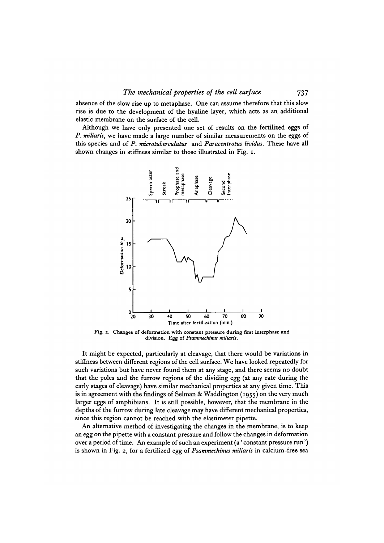absence of the slow rise up to metaphase. One can assume therefore that this slow rise is due to the development of the hyaline layer, which acts as an additional elastic membrane on the surface of the cell.

Although we have only presented one set of results on the fertilized eggs of *P. miliaris,* we have made a large number of similar measurements on the eggs of this species and of P. *microtuberculatus* and *Paracentrotus lividus.* These have all shown changes in stiffness similar to those illustrated in Fig. 1.



Fig. 2. Changes of deformation with constant pressure during first interphase and **division. Egg of** *Pscanmechimu rmiiaru.*

It might be expected, particularly at cleavage, that there would be variations in stiffness between different regions of the cell surface. We have looked repeatedly for such variations but have never found them at any stage, and there seems no doubt that the poles and the furrow regions of the dividing egg (at any rate during the early stages of cleavage) have similar mechanical properties at any given time. This is in agreement with the findings of Selman & Waddington (1955) on the very much larger eggs of amphibians. It is still possible, however, that the membrane in the depths of the furrow during late cleavage may have different mechanical properties, since this region cannot be reached with the elastimeter pipette.

An alternative method of investigating the changes in the membrane, is to keep an egg on the pipette with a constant pressure and follow the changes in deformation over a period of time. An example of such an experiment (a' constant pressure run') is shown in Fig. 2, for a fertilized egg of *Psammechinus miliaris* in calcium-free sea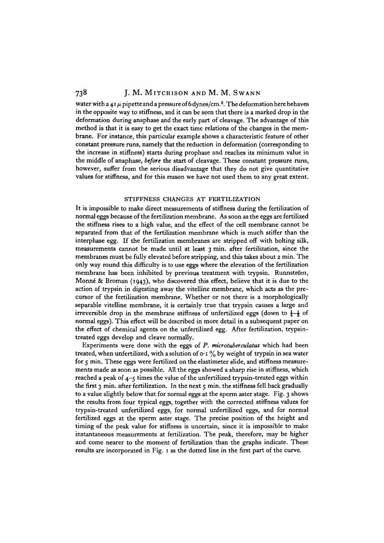water with a 41  $\mu$  pipette and a pressure of 6 dynes/cm.<sup>2</sup>. The deformation here behaves in the opposite way to stiffness, and it can be seen that there is a marked drop in the deformation during anaphase and the early part of cleavage. The advantage of this method is that it is easy to get the exact time relations of the changes in the membrane. For instance, this particular example shows a characteristic feature of other constant pressure runs, namely that the reduction in deformation (corresponding to the increase in stiffness) starts during prophase and reaches its minimum value in the middle of anaphase, *before* the start of cleavage. These constant pressure runs, however, suffer from the serious disadvantage that they do not give quantitative values for stiffness, and for this reason we have not used them to any great extent.

#### STIFFNESS CHANGES AT FERTILIZATION

It is impossible to make direct measurements of stiffness during the fertilization of normal eggs because of the fertilization membrane. As soon as the eggs are fertilized the stiffness rises to a high value, and the effect of the cell membrane cannot be separated from that of the fertilization membrane which is much stiffer than the interphase egg. If the fertilization membranes are stripped off with bolting silk, measurements cannot be made until at least 3 min. after fertilization, since the membranes must be fully elevated before stripping, and this takes about 2 min. The only way round this difficulty is to use eggs where the elevation of the fertilization membrane has been inhibited by previous treatment with trypsin. Runnström, Monné & Broman (1943), who discovered this effect, believe that it is due to the action of trypsin in digesting away the vitelline membrane, which acts as the precursor of the fertilization membrane. Whether or not there is a morphologically separable vitelline membrane, it is certainly true that trypsin causes a large and irreversible drop in the membrane stiffness of unfertilized eggs (down to  $\frac{1}{4}$  of normal eggs). This effect will be described in more detail in a subsequent paper on the effect of chemical agents on the unfertilized egg. After fertilization, trypsintreated eggs develop and cleave normally.

Experiments were done with the eggs of *P. microtuberculatus* which had been treated, when unfertilized, with a solution of  $\circ$  1 % by weight of trypsin in sea water for 5 min. These eggs were fertilized on the elastimeter slide, and stiffness measurements made as soon as possible. All the eggs showed a sharp rise in stiffness, which reached a peak of 4-5 times the value of the unfertilized trypsin-treated eggs within the first 3 min. after fertilization. In the next 5 min. the stiffness fell back gradually to a value slightly below that for normal eggs at the sperm aster stage. Fig. 3 shows the results from four typical eggs, together with the corrected stiffness values for trypsin-treated unfertilized eggs, for normal unfertilized eggs, and for normal fertilized eggs at the sperm aster stage. The precise position of the height and timing of the peak value for stiffness is uncertain, since it is impossible to make instantaneous measurements at fertilization. The peak, therefore, may be higher and come nearer to the moment of fertilization than the graphs indicate. These results are incorporated in Fig. 1 as the dotted line in the first part of the curve.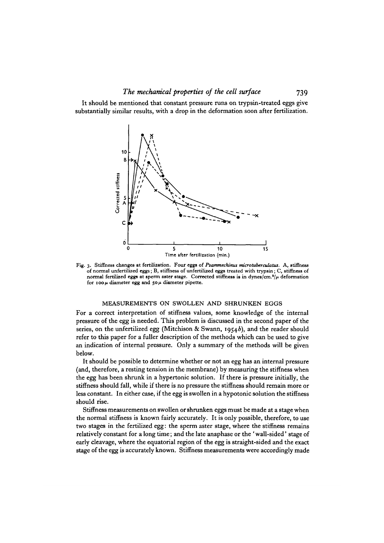It should be mentioned that constant pressure runs on trypsin-treated eggs give substantially similar results, with a drop in the deformation soon after fertilization.



Fig. 3. Stiffness changes at fertilization. Four eggs of *Prammechinus microtuberculatus*. A, stiffness of normal unfertilized eggs; B, stiffness of unfertilized eggs treated with trypsin; C, stiffness of normal fertilize normal fertilized eggs at sperm aster stage. Corrected stiffness is in dynes/cm.\*/ $\mu$  deformation<br>for 100 $\mu$  diameter egg and 50 $\mu$  diameter pipette.

#### MEASUREMENTS ON SWOLLEN AND SHRUNKEN EGGS

For a correct interpretation of stiffness values, some knowledge of the internal pressure of the egg is needed. This problem is discussed in the second paper of the series, on the unfertilized egg (Mitchison & Swann, 1954b), and the reader should refer to this paper for a fuller description of the methods which can be used to give an indication of internal pressure. Only a summary of the methods will be given below.

It should be possible to determine whether or not an egg has an internal pressure (and, therefore, a resting tension in the membrane) by measuring the stiffness when the egg has been shrunk in a hypertonic solution. If there is pressure initially, the stiffness should fall, while if there is no pressure the stiffness should remain more or less constant. In either case, if the egg is swollen in a hypotonic solution the stiffness should rise.

Stiffness measurements on swollen or shrunken eggs must be made at a stage when the normal stiffness is known fairly accurately. It is only possible, therefore, to use two stages in the fertilized egg: the sperm aster stage, where the stiffness remains relatively constant for a long time; and the late anaphase or the 'wall-sided' stage of early cleavage, where the equatorial region of the egg is straight-sided and the exact stage of the egg is accurately known. Stiffness measurements were accordingly made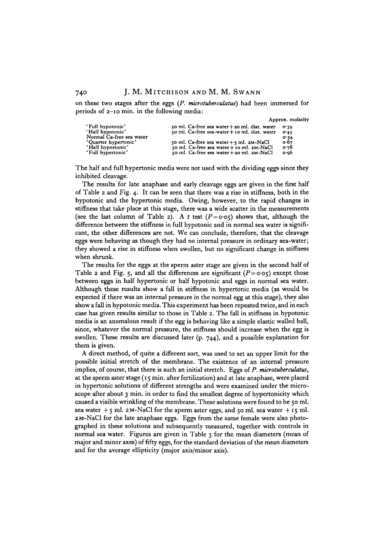on these two stages after the eggs *(P. microtuberadatus)* had been immersed for periods of 2-10 min. in the following media:

Approx. molarity

| 'Full hypotonic'<br>'Half hypotonic'<br>Normal Ca-free sea water | $\frac{1}{2}$ co ml. Ca-free sea water + 20 ml. dist. water<br>50 ml. Ca-free sea-water + 10 ml. dist. water | 0.30<br>0.45<br>0.54 |
|------------------------------------------------------------------|--------------------------------------------------------------------------------------------------------------|----------------------|
| 'Quarter hypertonic'                                             | 50 ml. Ca-free sea water $+$ 5 ml. 2M-NaCl                                                                   | 0.67                 |
| 'Half hypertonic'                                                | 50 ml. Ca-free sea water + 10 ml. 2M-NaCl                                                                    | o.78                 |
| 'Full hypertonic'                                                | 50 ml. Ca-free sea water $+$ 20 ml. 2M-NaCl                                                                  | o·o6                 |

The half and full hypertonic media were not used with the dividing eggs since they inhibited cleavage.

The results for late anaphase and early cleavage eggs are given in the first half of Table 2 and Fig. 4. It can be seen that there was a rise in stiffness, both in the hypotonic and the hypertonic media. Owing, however, to the rapid changes in stiffness that take place at this stage, there was a wide scatter in the measurements (see the last column of Table 2). A t test  $(P = o \circ \varsigma)$  shows that, although the difference between the stiffness in full hypotonic and in normal sea water is significant, the other differences are not. We can conclude, therefore, that the cleavage eggs were behaving as though they had no internal pressure in ordinary sea-water; they showed a rise in stiffness when swollen, but no significant change in stiffness when shrunk.

The results for the eggs at the sperm aster stage are given in the second half of Table 2 and Fig. 5, and all the differences are significant  $(P = o \cdot o \cdot \tau)$  except those between eggs in half hypertonic or half hypotonic and eggs in normal sea water. Although these results show a fall in stiffness in hypertonic media (as would be expected if there was an internal pressure in the normal egg at this stage), they also show a fall in hypotonic media. This experiment has been repeated twice, and in each case has given results similar to those in Table 2. The fall in stiffness in hypotonic media is an anomalous result if the egg is behaving like a simple elastic walled ball, since, whatever the normal pressure, the stiffness should increase when the egg is swollen. These results are discussed later (p. 744), and a possible explanation for them is given.

A direct method, of quite a different sort, was used to set an upper limit for the possible initial stretch of the membrane. The existence of an internal pressure implies, of course, that there is such an initial stretch. Eggs of *P. microtuberadatus,* at the sperm aster stage (15 min. after fertilization) and at late anaphase, were placed in hypertonic solutions of different strengths and were examined under the microscope after about 3 min. in order to find the smallest degree of hypertonicity which caused a visible wrinkling of the membrane. These solutions were found to be 50 ml. sea water  $+5$  ml. 2M-NaCl for the sperm aster eggs, and 50 ml. sea water  $+15$  ml. 2M-NaCl for the late anaphase eggs. Eggs from the same female were also photographed in these solutions and subsequently measured, together with controls in normal sea water. Figures are given in Table 3 for the mean diameters (mean of major and minor axes) of fifty eggs, for the standard deviation of the mean diameters and for the average ellipticity (major axis/minor axis).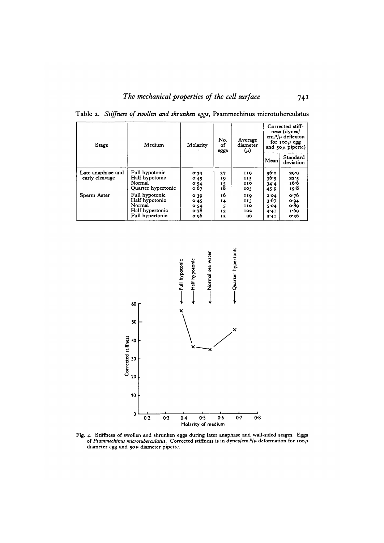| Stage             | Medium             | No.<br>Molarity<br>оf<br>eggs |    | Average<br>diameter<br>$(\mu)$ | Corrected stiff-<br>ness (dynes/<br>$cm.$ <sup>2</sup> / $\mu$ deflexion<br>for $100 \mu$ egg<br>and $50\mu$ pipette) |                       |
|-------------------|--------------------|-------------------------------|----|--------------------------------|-----------------------------------------------------------------------------------------------------------------------|-----------------------|
|                   |                    |                               |    |                                | Mean                                                                                                                  | Standard<br>deviation |
| Late anaphase and | Full hypotonic     | 0.39                          | 37 | 119                            | 56.o                                                                                                                  | 29.9                  |
| early cleavage    | Half hypotonic     | 0.45                          | 19 | 115                            | 36.5                                                                                                                  | 22.5                  |
|                   | Normal             | 0.54                          | 15 | 110                            | 34.4                                                                                                                  | 16.6                  |
|                   | Quarter hypertonic | 0.67                          | 18 | 105                            | 45.9                                                                                                                  | 19.8                  |
| Sperm Aster       | Full hypotonic     | 0.39                          | 16 | 119                            | 2.04                                                                                                                  | 0.76                  |
|                   | Half hypotonic     | 0.45                          | 14 | 115                            | 3.67                                                                                                                  | O.94                  |
|                   | Normal             | 0.54                          |    | 110                            | 5.04                                                                                                                  | o 8q                  |
|                   | Half hypertonic    | 0.78                          | 13 | 102                            | 4.41                                                                                                                  | 1.60                  |
|                   | Full hypertonic    | o•o6                          | 15 | 96                             | 3.41                                                                                                                  | 0.36                  |

Table 2. *Stiffness of swollen and shrunken eggs,* Psammechinus microtuberculatus



**Fig. 4. Stiffness of swollen and shrunken eggs during later anaphase and wall-sided stages. Eggs of** *Psammechinus microtuberculatus.* Corrected stiffness is in dynes/cm.<sup>\*</sup>/ $\mu$  deformation for 100 $\mu$ **diameter egg and 50** *\i* **diameter pipette.**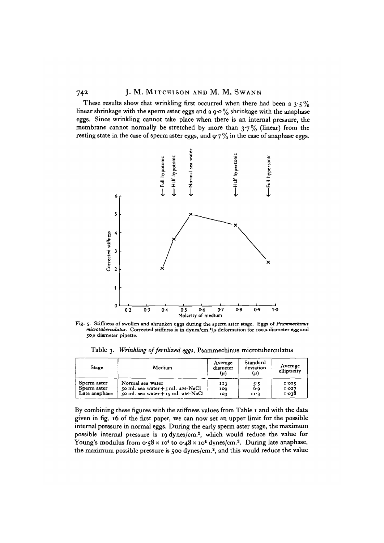These results show that wrinkling first occurred when there had been a  $3.5\%$ linear shrinkage with the sperm aster eggs and a  $9.0\%$  shrinkage with the anaphase eggs. Since wrinkling cannot take place when there is an internal pressure, the membrane cannot normally be stretched by more than  $3.7\%$  (linear) from the resting state in the case of sperm aster eggs, and  $9.7\%$  in the case of anaphase eggs.



Fig. 5. Stiffness of swollen and shrunken eggs during the sperm aster stage. Eggs of *Psammechinus microtuberculatus.* **Corrected stiffness is in dynes/cm.<sup>1</sup> //! deformation for 100/1 diameter egg and 50/i diameter pipette.**

Table 3. *Wrinkling of fertilized eggs,* Psammechinus microtuberculatus

| Stage         | Medium                                | Average<br>diameter<br>(μ) | Standard<br>deviation<br>(μ) | Average<br>ellipticity |
|---------------|---------------------------------------|----------------------------|------------------------------|------------------------|
| Sperm aster   | Normal sea water                      | 113                        | 5.5                          | 1.025                  |
| Sperm aster   | 50 ml. sea water $+$ 5 ml. $2M-NaCl$  | 100                        | 6.9                          | I 027                  |
| Late anaphase | 50 ml. sea water $+$ 15 ml. $2M-NaCl$ | 103                        | 11'3                         | 1.038                  |

By combining these figures with the stiffness values from Table 1 and with the data given in fig. 16 of the first paper, we can now set an upper limit for the possible internal pressure in normal eggs. During the early sperm aster stage, the maximum possible internal pressure is 19 dynes/cm.<sup>2</sup>, which would reduce the value for .<br>Young's modulus from 0.58 x 10<sup>4</sup> to 0.48 x 10<sup>4</sup> dynes/cm.<sup>2</sup>. During late anaphase, the maximum possible pressure is 500 dynes/cm.<sup>2</sup>, and this would reduce the value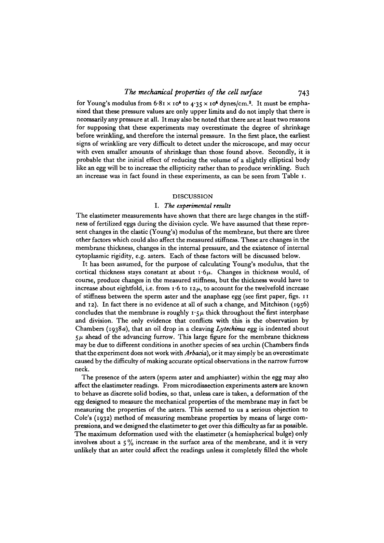for Young's modulus from  $6.81 \times 10^4$  to  $4.35 \times 10^4$  dynes/cm.<sup>2</sup>. It must be emphasized that these pressure values are only upper limits and do not imply that there is necessarily any pressure at all. It may also be noted that there are at least two reasons for supposing that these experiments may overestimate the degree of shrinkage before wrinkling, and therefore the internal pressure. In the first place, the earliest signs of wrinkling are very difficult to detect under the microscope, and may occur with even smaller amounts of shrinkage than those found above. Secondly, it is probable that the initial effect of reducing the volume of a slightly elliptical body like an egg will be to increase the ellipticity rather than to produce wrinkling. Such an increase was in fact found in these experiments, as can be seen from Table 1.

# DISCUSSION

### I. *The experimental results*

The elastimeter measurements have shown that there are large changes in the stiffness of fertilized eggs during the division cycle. We have assumed that these represent changes in the elastic (Young's) modulus of the membrane, but there are three other factors which could also affect the measured stiffness. These are changes in the membrane thickness, changes in the internal pressure, and the existence of internal cytoplasmic rigidity, e.g. asters. Each of these factors will be discussed below.

It has been assumed, for the purpose of calculating Young's modulus, that the cortical thickness stays constant at about  $\mathbf{r} \cdot 6\mu$ . Changes in thickness would, of course, produce changes in the measured stiffness, but the thickness would have to increase about eightfold, i.e. from  $1.6$  to  $12\mu$ , to account for the twelvefold increase of stiffness between the sperm aster and the anaphase egg (see first paper, figs. 11 and 12). In fact there is no evidence at all of such a change, and Mitchison (1956) concludes that the membrane is roughly  $\mathbf{r} \cdot \mathbf{y}$  thick throughout the first interphase and division. The only evidence that conflicts with this is the observation by Chambers (1938a), that an oil drop in a cleaving *Lytechinus* egg is indented about  $5\mu$  ahead of the advancing furrow. This large figure for the membrane thickness may be due to different conditions in another species of sea urchin (Chambers finds that the experiment does not work with *Arbacid),* or it may simply be an overestimate caused by the difficulty of making accurate optical observations in the narrow furrow neck.

The presence of the asters (sperm aster and amphiaster) within the egg may also affect the elastimeter readings. From microdissection experiments asters are known to behave as discrete solid bodies, so that, unless care is taken, a deformation of the egg designed to measure the mechanical properties of the membrane may in fact be measuring the properties of the asters. This seemed to us a serious objection to Cole's (1932) method of measuring membrane properties by means of large compressions, and we designed the elastimeter to get over this difficulty as far as possible. The maximum deformation used with the elastimeter (a hemispherical bulge) only involves about a  $5\%$  increase in the surface area of the membrane, and it is very unlikely that an aster could affect the readings unless it completely filled the whole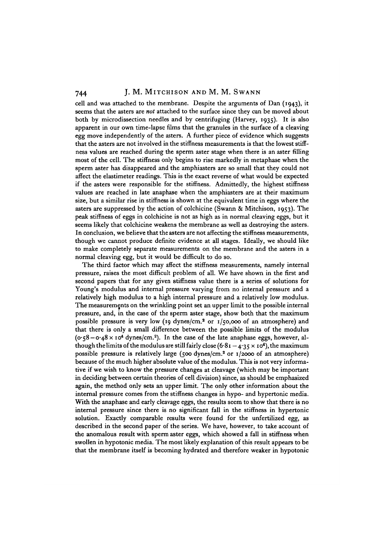cell and was attached to the membrane. Despite the arguments of Dan (1943), it seems that the asters are *not* attached to the surface since they can be moved about both by microdissection needles and by centrifuging (Harvey, 1935). It is also apparent in our own time-lapse films that the granules in the surface of a cleaving egg move independently of the asters. A further piece of evidence which suggests that the asters are not involved in the stiffness measurements is that the lowest stiffness values are reached during the sperm aster stage when there is an aster filling most of the cell. The stiffness only begins to rise markedly in metaphase when the sperm aster has disappeared and the amphiasters are so small that they could not affect the elastimeter readings. This is the exact reverse of what would be expected if the asters were responsible for the stiffness. Admittedly, the highest stiffness values are reached in late anaphase when the amphiasters are at their maximum size, but a similar rise in stiffness is shown at the equivalent time in eggs where the asters are suppressed by the action of colchicine (Swann & Mitchison, 1953). The peak stiffness of eggs in colchicine is not as high as in normal cleaving eggs, but it seems likely that colchicine weakens the membrane as well as destroying the asters. In conclusion, we believe that the asters are not affecting the stiffness measurements, though we cannot produce definite evidence at all stages. Ideally, we should like to make completely separate measurements on the membrane and the asters in a normal cleaving egg, but it would be difficult to do so.

The third factor which may affect the stiffness measurements, namely internal pressure, raises the most difficult problem of all. We have shown in the first and second papers that for any given stiffness value there is a series of solutions for Young's modulus and internal pressure varying from no internal pressure and a relatively high modulus to a high internal pressure and a relatively low modulus. The measurements on the wrinkling point set an upper limit to the possible internal pressure, and, in the case of the sperm aster stage, show both that the maximum possible pressure is very low (19 dynes/cm.<sup>2</sup> or 1/50,000 of an atmosphere) and that there is only a small difference between the possible limits of the modulus  $(\text{o} \cdot 58 - \text{o} \cdot 48 \times \text{10}^4 \text{ dynes/cm.}^2)$ . In the case of the late anaphase eggs, however, although the limits of the modulus are still fairly close  $(6.81 - 4.35 \times 10^4)$ , the maximum possible pressure is relatively large (500 dynes/cm.<sup>2</sup> or 1/2000 of an atmosphere) because of the much higher absolute value of the modulus. This is not very informative if we wish to know the pressure changes at cleavage (which may be important in deciding between certain theories of cell division) since, as should be emphasized again, the method only sets an upper limit. The only other information about the internal pressure comes from the stiffness changes in hypo- and hypertonic media. With the anaphase and early cleavage eggs, the results seem to show that there is no internal pressure since there is no significant fall in the stiffness in hypertonic solution. Exactly comparable results were found for the unfertilized egg, as described in the second paper of the series. We have, however, to take account of the anomalous result with sperm aster eggs, which showed a fall in stiffness when swollen in hypotonic media. The most likely explanation of this result appears to be that the membrane itself is becoming hydrated and therefore weaker in hypotonic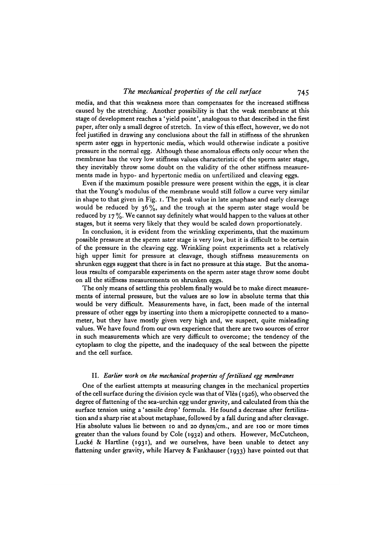media, and that this weakness more than compensates for the increased stiffness caused by the stretching. Another possibility is that the weak membrane at this stage of development reaches a 'yield point', analogous to that described in the first paper, after only a small degree of stretch. In view of this effect, however, we do not feel justified in drawing any conclusions about the fall in stiffness of the shrunken sperm aster eggs in hypertonic media, which would otherwise indicate a positive pressure in the normal egg. Although these anomalous effects only occur when the membrane has the very low stiffness values characteristic of the sperm aster stage, they inevitably throw some doubt on the validity of the other stiffness measurements made in hypo- and hypertonic media on unfertilized and cleaving eggs.

Even if the maximum possible pressure were present within the eggs, it is clear that the Young's modulus of the membrane would still follow a curve very similar in shape to that given in Fig. 1. The peak value in late anaphase and early cleavage would be reduced by 36%, and the trough at the sperm aster stage would be reduced by 17 *%.* We cannot say definitely what would happen to the values at other stages, but it seems very likely that they would be scaled down proportionately.

In conclusion, it is evident from the wrinkling experiments, that the maximum possible pressure at the sperm aster stage is very low, but it is difficult to be certain of the pressure in the cleaving egg. Wrinkling point experiments set a relatively high upper limit for pressure at cleavage, though stiffness measurements on shrunken eggs suggest that there is in fact no pressure at this stage. But the anomalous results of comparable experiments on the sperm aster stage throw some doubt on all the stiffness measurements on shrunken eggs.

The only means of settling this problem finally would be to make direct measurements of internal pressure, but the values are so low in absolute terms that this would be very difficult. Measurements have, in fact, been made of the internal pressure of other eggs by inserting into them a micropipette connected to a manometer, but they have mostly given very high and, we suspect, quite misleading values. We have found from our own experience that there are two sources of error in such measurements which are very difficult to overcome; the tendency of the cytoplasm to clog the pipette, and the inadequacy of the seal between the pipette and the cell surface.

#### II. *Earlier work on the mechanical properties of fertilized egg membranes*

One of the earliest attempts at measuring changes in the mechanical properties of the cell surface during the division cycle was that of Vies (1926), who observed the degree of flattening of the sea-urchin egg under gravity, and calculated from this the surface tension using a ' sessile drop' formula. He found a decrease after fertilization and a sharp rise at about metaphase, followed by a fall during and after cleavage. His absolute values lie between 10 and 20 dynes/cm., and are 100 or more times greater than the values found by Cole (1932) and others. However, McCutcheon, Luck6 & Hartline (1931), and we ourselves, have been unable to detect any flattening under gravity, while Harvey & Fankhauser (1933) have pointed out that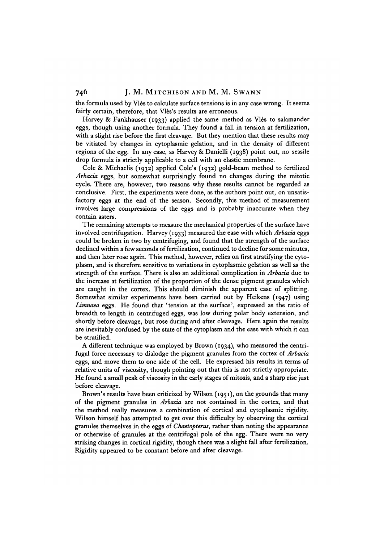the formula used by Vies to calculate surface tensions is in any case wrong. It seems fairly certain, therefore, that Vlès's results are erroneous.

Harvey & Fankhauser (1933) applied the same method as Vles to salamander eggs, though using another formula. They found a fall in tension at fertilization, with a slight rise before the first cleavage. But they mention that these results may be vitiated by changes in cytoplasmic gelation, and in the density of different regions of the egg. In any case, as Harvey & Danielli (1938) point out, no sessile drop formula is strictly applicable to a cell with an elastic membrane.

Cole & Michaelis (1932) applied Cole's (1932) gold-beam method to fertilized *Arbacia* eggs, but somewhat surprisingly found no changes during the mitotic cycle. There are, however, two reasons why these results cannot be regarded as conclusive. First, the experiments were done, as the authors point out, on unsatisfactory eggs at the end of the season. Secondly, this method of measurement involves large compressions of the eggs and is probably inaccurate when they contain asters.

The remaining attempts to measure the mechanical properties of the surface have involved centrifugation. Harvey (1933) measured the ease with which *Arbacia* eggs could be broken in two by centrifuging, and found that the strength of the surface declined within a few seconds of fertilization, continued to decline for some minutes, and then later rose again. This method, however, relies on first stratifying the cytoplasm, and is therefore sensitive to variations in cytoplasmic gelation as well as the strength of the surface. There is also an additional complication in *Arbacia* due to the increase at fertilization of the proportion of the dense pigment granules which are caught in the cortex. This should diminish the apparent ease of splitting. Somewhat similar experiments have been carried out by Heikens (1947) using *Limnaea* eggs. He found that 'tension at the surface', expressed as the ratio of breadth to length in centrifuged eggs, was low during polar body extension, and shortly before cleavage, but rose during and after cleavage. Here again the results are inevitably confused by the state of the cytoplasm and the ease with which it can be stratified.

A different technique was employed by Brown (1934), who measured the centrifugal force necessary to dislodge the pigment granules from the cortex of *Arbacia* eggs, and move them to one side of the cell. He expressed his results in terms of relative units of viscosity, though pointing out that this is not strictly appropriate. He found a small peak of viscosity in the early stages of mitosis, and a sharp rise just before cleavage.

Brown's results have been criticized by Wilson (1951), on the grounds that many of the pigment granules in *Arbacia* are not contained in the cortex, and that the method really measures a combination of cortical and cytoplasmic rigidity. Wilson himself has attempted to get over this difficulty by observing the cortical granules themselves in the eggs of *Chaetopterus,* rather than noting the appearance or otherwise of granules at the centrifugal pole of the egg. There were no very striking changes in cortical rigidity, though there was a slight fall after fertilization. Rigidity appeared to be constant before and after cleavage.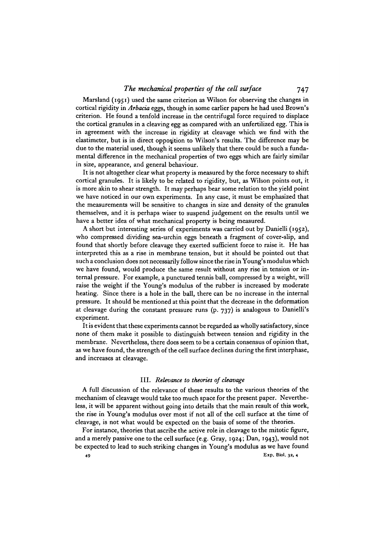Marsland (1951) used the same criterion as Wilson for observing the changes in cortical rigidity in *Arbacia* eggs, though in some earlier papers he had used Brown's criterion. He found a tenfold increase in the centrifugal force required to displace the cortical granules in a cleaving egg as compared with an unfertilized egg. This is in agreement with the increase in rigidity at cleavage which we find with the elastimeter, but is in direct opposition to Wilson's results. The difference may be due to the material used, though it seems unlikely that there could be such a fundamental difference in the mechanical properties of two eggs which are fairly similar in size, appearance, and general behaviour.

It is not altogether clear what property is measured by the force necessary to shift cortical granules. It is likely to be related to rigidity, but, as Wilson points out, it is more akin to shear strength. It may perhaps bear some relation to the yield point we have noticed in our own experiments. In any case, it must be emphasized that the measurements will be sensitive to changes in size and density of the granules themselves, and it is perhaps wiser to suspend judgement on the results until we have a better idea of what mechanical property is being measured.

A short but interesting series of experiments was carried out by Danielli (1952), who compressed dividing sea-urchin eggs beneath a fragment of cover-slip, and found that shortly before cleavage they exerted sufficient force to raise it. He has interpreted this as a rise in membrane tension, but it should be pointed out that such a conclusion does not necessarily follow since the rise in Young's modulus which we have found, would produce the same result without any rise in tension or internal pressure. For example, a punctured tennis ball, compressed by a weight, will raise the weight if the Young's modulus of the rubber is increased by moderate heating. Since there is a hole in the ball, there can be no increase in the internal pressure. It should be mentioned at this point that the decrease in the deformation at cleavage during the constant pressure runs (p. 737) is analogous to Danielli's experiment.

It is evident that these experiments cannot be regarded as wholly satisfactory, since none of them make it possible to distinguish between tension and rigidity in the membrane. Nevertheless, there does seem to be a certain consensus of opinion that, as we have found, the strength of the cell surface declines during the first interphase, and increases at cleavage.

#### III. *Relevance to theories of cleavage*

A full discussion of the relevance of these results to the various theories of the mechanism of cleavage would take too much space for the present paper. Nevertheless, it will be apparent without going into details that the main result of this work, the rise in Young's modulus over most if not all of the cell surface at the time of cleavage, is not what would be expected on the basis of some of the theories.

For instance, theories that ascribe the active role in cleavage to the mitotic figure, and a merely passive one to the cell surface (e.g. Gray, 1924; Dan, 1943), would not be expected to lead to such striking changes in Young's modulus as we have found **49 Exp. Biol. 32, 4**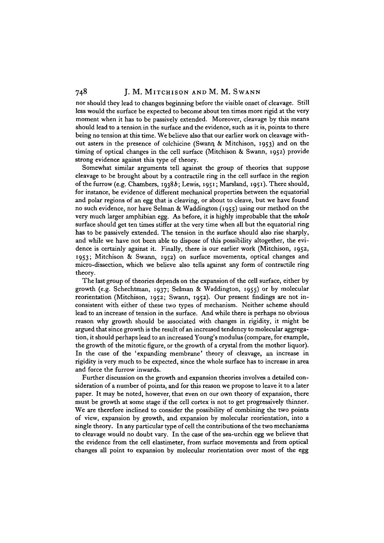nor should they lead to changes beginning before the visible onset of cleavage. Still less would the surface be expected to become about ten times more rigid at the very moment when it has to be passively extended. Moreover, cleavage by this means should lead to a tension in the surface and the evidence, such as it is, points to there being no tension at this time. We believe also that our earlier work on cleavage without asters in the presence of colchicine (Swarm, & Mitchison, 1953) and on the timing of optical changes in the cell surface (Mitchison & Swann, 1952) provide strong evidence against this type of theory.

Somewhat similar arguments tell against the group of theories that suppose cleavage to be brought about by a contractile ring in the cell surface in the region of the furrow (e.g. Chambers, 19386; Lewis, 1951; Marsland, 1951). There should, for instance, be evidence of different mechanical properties between the equatorial and polar regions of an egg that is cleaving, or about to cleave, but we have found no such evidence, nor have Selman & Waddington (1955) using our method on the very much larger amphibian egg. As before, it is highly improbable that the *whole* surface should get ten times stiffer at the very time when all but the equatorial ring has to be passively extended. The tension in the surface should also rise sharply, and while we have not been able to dispose of this possibility altogether, the evidence is certainly against it. Finally, there is our earlier work (Mitchison, 1952, 1953; Mitchison & Swann, 1952) on surface movements, optical changes and micro-dissection, which we believe also tells against any form of contractile ring theory.

The last group of theories depends on the expansion of the cell surface, either by growth (e.g. Schechtman, 1937; Selman & Waddington, 1955) or by molecular reorientation (Mitchison, 1952; Swann, 1952). Our present findings are not inconsistent with either of these two types of mechanism. Neither scheme should lead to an increase of tension in the surface. And while there is perhaps no obvious reason why growth should be associated with changes in rigidity, it might be argued that since growth is the result of an increased tendency to molecular aggregation, it should perhaps lead to an increased Young's modulus (compare, for example, the growth of the mitotic figure, or the growth of a crystal from the mother liquor). In the case of the 'expanding membrane' theory of cleavage, an increase in rigidity is very much to be expected, since the whole surface has to increase in area and force the furrow inwards.

Further discussion on the growth and expansion theories involves a detailed consideration of a number of points, and for this reason we propose to leave it to a later paper. It may be noted, however, that even on our own theory of expansion, there must be growth at some stage if the cell cortex is not to get progressively thinner. We are therefore inclined to consider the possibility of combining the two points of view, expansion by growth, and expansion by molecular reorientation, into a single theory. In any particular type of cell the contributions of the two mechanisms to cleavage would no doubt vary. In the case of the sea-urchin egg we believe that the evidence from the cell elastimeter, from surface movements and from optical changes all point to expansion by molecular reorientation over most of the egg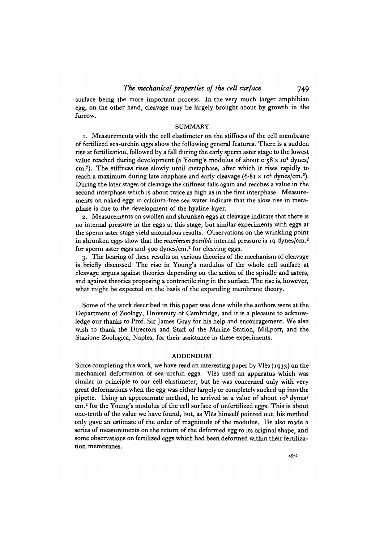surface being the more important process. In the very much larger amphibian egg, on the other hand, cleavage may be largely brought about by growth in the furrow.

#### SUMMARY

1. Measurements with the cell elastimeter on the stiffness of the cell membrane of fertilized sea-urchin eggs show the following general features. There is a sudden rise at fertilization, followed by a fall during the early sperm aster stage to the lowest value reached during development (a Young's modulus of about  $\sigma$  58 x 10<sup>4</sup> dynes/ cm.<sup>8</sup> ). The stiffness rises slowly until metaphase, after which it rises rapidly to reach a maximum during late anaphase and early cleavage (6.81  $\times$  10<sup>4</sup> dynes/cm.<sup>2</sup>). During the later stages of cleavage the stiffness falls again and reaches a value in the second interphase which is about twice as high as in the first interphase. Measurements on naked eggs in calcium-free sea water indicate that the slow rise in metaphase is due to the development of the hyaline layer.

2. Measurements on swollen and shrunken eggs at cleavage indicate that there is no internal pressure in the eggs at this stage, but similar experiments with eggs at the sperm aster stage yield anomalous results. Observations on the wrinkling point in shrunken eggs show that the *maximum possible* internal pressure is 19 dynes/cm.2 for sperm aster eggs and 500 dynes/cm.<sup>2</sup> for cleaving eggs.

3. The bearing of these results on various theories of the mechanism of cleavage is briefly discussed. The rise in Young's modulus of the whole cell surface at cleavage argues against theories depending on the action of the spindle and asters, and against theories proposing a contractile ring in the surface. The rise is, however, what might be expected on the basis of the expanding membrane theory.

Some of the work described in this paper was done while the authors were at the Department of Zoology, University of Cambridge, and it is a pleasure to acknowledge our thanks to Prof. Sir James Gray for his help and encouragement. We also wish to thank the Directors and Staff of the Marine Station, Millport, and the Stazione Zoologica, Naples, for their assistance in these experiments.

# ADDENDUM

Since completing this work, we have read an interesting paper by Vlès (1933) on the mechanical deformation of sea-urchin eggs. Vlès used an apparatus which was similar in principle to our cell elastimeter, but he was concerned only with very great deformations when the egg was either largely or completely sucked up into the pipette. Using an approximate method, he arrived at a value of about 10<sup>3</sup> dynes/ cm.<sup>2</sup> for the Young's modulus of the cell surface of unfertilized eggs. This is about one-tenth of the value we have found, but, as Vies himself pointed out, his method only gave an estimate of the order of magnitude of the modulus. He also made a series of measurements on the return of the deformed egg to its original shape, and some observations on fertilized eggs which had been deformed within their fertilization membranes.